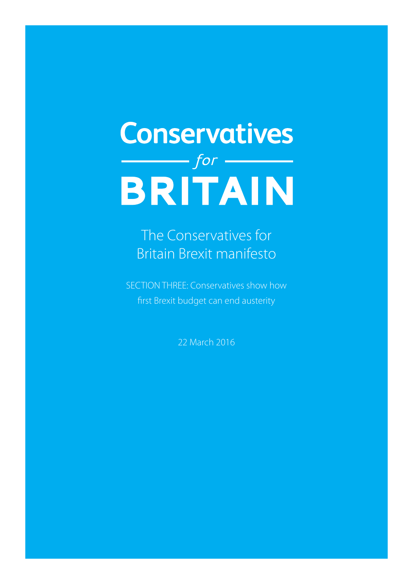# **Conservatives**  $B$ RITAIN

The Conservatives for Britain Brexit manifesto

SECTION THREE: Conservatives show how first Brexit budget can end austerity

22 March 2016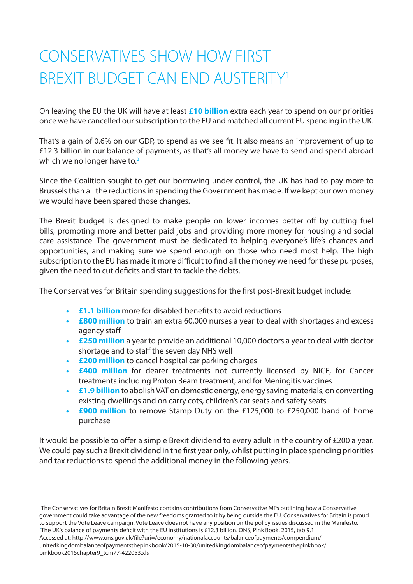## CONSERVATIVES SHOW HOW FIRST BREXIT BUDGET CAN END AUSTERITY1

On leaving the EU the UK will have at least **£10 billion** extra each year to spend on our priorities once we have cancelled our subscription to the EU and matched all current EU spending in the UK.

That's a gain of 0.6% on our GDP, to spend as we see fit. It also means an improvement of up to £12.3 billion in our balance of payments, as that's all money we have to send and spend abroad which we no longer have to.<sup>2</sup>

Since the Coalition sought to get our borrowing under control, the UK has had to pay more to Brussels than all the reductions in spending the Government has made. If we kept our own money we would have been spared those changes.

The Brexit budget is designed to make people on lower incomes better off by cutting fuel bills, promoting more and better paid jobs and providing more money for housing and social care assistance. The government must be dedicated to helping everyone's life's chances and opportunities, and making sure we spend enough on those who need most help. The high subscription to the EU has made it more difficult to find all the money we need for these purposes, given the need to cut deficits and start to tackle the debts.

The Conservatives for Britain spending suggestions for the first post-Brexit budget include:

- **• £1.1 billion** more for disabled benefits to avoid reductions
- **• £800 million** to train an extra 60,000 nurses a year to deal with shortages and excess agency staff
- **• £250 million** a year to provide an additional 10,000 doctors a year to deal with doctor shortage and to staff the seven day NHS well
- **• £200 million** to cancel hospital car parking charges
- **• £400 million** for dearer treatments not currently licensed by NICE, for Cancer treatments including Proton Beam treatment, and for Meningitis vaccines
- **• £1.9 billion** to abolish VAT on domestic energy, energy saving materials, on converting existing dwellings and on carry cots, children's car seats and safety seats
- **£900 million** to remove Stamp Duty on the £125,000 to £250,000 band of home purchase

It would be possible to offer a simple Brexit dividend to every adult in the country of £200 a year. We could pay such a Brexit dividend in the first year only, whilst putting in place spending priorities and tax reductions to spend the additional money in the following years.

1 The Conservatives for Britain Brexit Manifesto contains contributions from Conservative MPs outlining how a Conservative government could take advantage of the new freedoms granted to it by being outside the EU. Conservatives for Britain is proud to support the Vote Leave campaign. Vote Leave does not have any position on the policy issues discussed in the Manifesto. 2 The UK's balance of payments deficit with the EU institutions is £12.3 billion. ONS, Pink Book, 2015, tab 9.1.

Accessed at: http://www.ons.gov.uk/file?uri=/economy/nationalaccounts/balanceofpayments/compendium/ unitedkingdombalanceofpaymentsthepinkbook/2015-10-30/unitedkingdombalanceofpaymentsthepinkbook/ pinkbook2015chapter9\_tcm77-422053.xls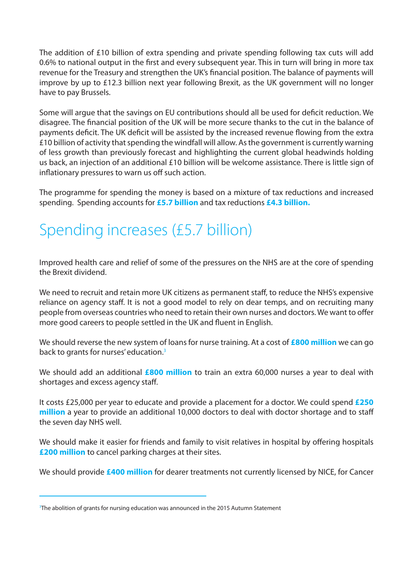The addition of £10 billion of extra spending and private spending following tax cuts will add 0.6% to national output in the first and every subsequent year. This in turn will bring in more tax revenue for the Treasury and strengthen the UK's financial position. The balance of payments will improve by up to £12.3 billion next year following Brexit, as the UK government will no longer have to pay Brussels.

Some will argue that the savings on EU contributions should all be used for deficit reduction. We disagree. The financial position of the UK will be more secure thanks to the cut in the balance of payments deficit. The UK deficit will be assisted by the increased revenue flowing from the extra £10 billion of activity that spending the windfall will allow. As the government is currently warning of less growth than previously forecast and highlighting the current global headwinds holding us back, an injection of an additional £10 billion will be welcome assistance. There is little sign of inflationary pressures to warn us off such action.

The programme for spending the money is based on a mixture of tax reductions and increased spending. Spending accounts for **£5.7 billion** and tax reductions **£4.3 billion.**

## Spending increases (£5.7 billion)

Improved health care and relief of some of the pressures on the NHS are at the core of spending the Brexit dividend.

We need to recruit and retain more UK citizens as permanent staff, to reduce the NHS's expensive reliance on agency staff. It is not a good model to rely on dear temps, and on recruiting many people from overseas countries who need to retain their own nurses and doctors. We want to offer more good careers to people settled in the UK and fluent in English.

We should reverse the new system of loans for nurse training. At a cost of **£800 million** we can go back to grants for nurses' education.<sup>3</sup>

We should add an additional **£800 million** to train an extra 60,000 nurses a year to deal with shortages and excess agency staff.

It costs £25,000 per year to educate and provide a placement for a doctor. We could spend **£250 million** a year to provide an additional 10,000 doctors to deal with doctor shortage and to staff the seven day NHS well.

We should make it easier for friends and family to visit relatives in hospital by offering hospitals **£200 million** to cancel parking charges at their sites.

We should provide **£400 million** for dearer treatments not currently licensed by NICE, for Cancer

 $^3$ The abolition of grants for nursing education was announced in the 2015 Autumn Statement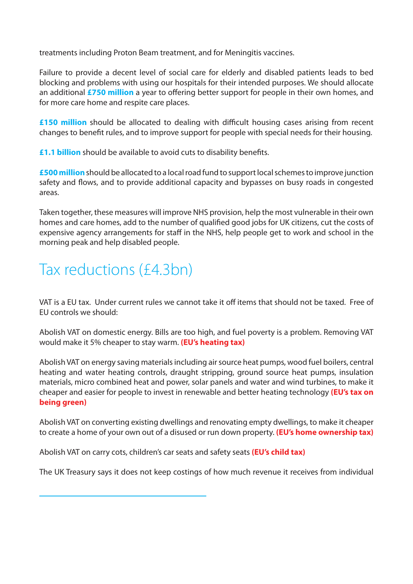treatments including Proton Beam treatment, and for Meningitis vaccines.

Failure to provide a decent level of social care for elderly and disabled patients leads to bed blocking and problems with using our hospitals for their intended purposes. We should allocate an additional **£750 million** a year to offering better support for people in their own homes, and for more care home and respite care places.

**£150 million** should be allocated to dealing with difficult housing cases arising from recent changes to benefit rules, and to improve support for people with special needs for their housing.

**£1.1 billion** should be available to avoid cuts to disability benefits.

**£500 million** should be allocated to a local road fund to support local schemes to improve junction safety and flows, and to provide additional capacity and bypasses on busy roads in congested areas.

Taken together, these measures will improve NHS provision, help the most vulnerable in their own homes and care homes, add to the number of qualified good jobs for UK citizens, cut the costs of expensive agency arrangements for staff in the NHS, help people get to work and school in the morning peak and help disabled people.

### Tax reductions (£4.3bn)

VAT is a EU tax. Under current rules we cannot take it off items that should not be taxed. Free of EU controls we should:

Abolish VAT on domestic energy. Bills are too high, and fuel poverty is a problem. Removing VAT would make it 5% cheaper to stay warm. **(EU's heating tax)**

Abolish VAT on energy saving materials including air source heat pumps, wood fuel boilers, central heating and water heating controls, draught stripping, ground source heat pumps, insulation materials, micro combined heat and power, solar panels and water and wind turbines, to make it cheaper and easier for people to invest in renewable and better heating technology **(EU's tax on being green)**

Abolish VAT on converting existing dwellings and renovating empty dwellings, to make it cheaper to create a home of your own out of a disused or run down property. **(EU's home ownership tax)**

Abolish VAT on carry cots, children's car seats and safety seats **(EU's child tax)**

The UK Treasury says it does not keep costings of how much revenue it receives from individual